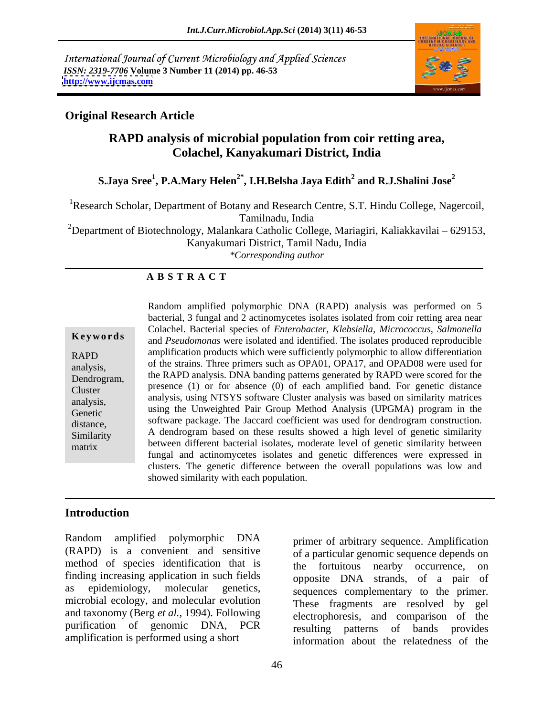International Journal of Current Microbiology and Applied Sciences *ISSN: 2319-7706* **Volume 3 Number 11 (2014) pp. 46-53 <http://www.ijcmas.com>**



### **Original Research Article**

# **RAPD analysis of microbial population from coir retting area, Colachel, Kanyakumari District, India**

### **S.Jaya Sree1 , P.A.Mary Helen2\* , I.H.Belsha Jaya Edith<sup>2</sup> and R.J.Shalini Jose<sup>2</sup>**

<sup>1</sup>Research Scholar, Department of Botany and Research Centre, S.T. Hindu College, Nagercoil,

Tamilnadu, India

<sup>2</sup>Department of Biotechnology, Malankara Catholic College, Mariagiri, Kaliakkavilai – 629153, Kanyakumari District, Tamil Nadu, India

## *\*Corresponding author*

### **A B S T R A C T**

**Ke ywo rds** and *Pseudomonas* were isolated and identified. The isolates produced reproducible RAPD amplification products which were sufficiently polymorphic to allow differentiation analysis, of the strains. Three primers such as OPA01, OPA17, and OPAD08 were used for  $\frac{1}{2}$ ,  $\frac{1}{2}$ ,  $\frac{1}{2}$ ,  $\frac{1}{2}$ ,  $\frac{1}{2}$ ,  $\frac{1}{2}$ ,  $\frac{1}{2}$ ,  $\frac{1}{2}$ ,  $\frac{1}{2}$ ,  $\frac{1}{2}$ ,  $\frac{1}{2}$ ,  $\frac{1}{2}$ ,  $\$ Dendrogram, the RAPD analysis. DNA banding patterns generated by RAPD were scored for the Cluster presence (1) or for absence (0) of each amplified band. For genetic distance analysis, analysis, using NTSYS software Cluster analysis was based on similarity matrices Genetic using the Unweighted Pair Group Method Analysis (UPGMA) program in the distance, software package. The Jaccard coefficient was used for dendrogram construction. Similarity A dendrogram based on these results showed a high level of genetic similarity between different bacterial isolates, moderate level of genetic similarity between<br>matrix Random amplified polymorphic DNA (RAPD) analysis was performed on 5 bacterial, 3 fungal and 2 actinomycetes isolates isolated from coir retting area near Colachel. Bacterial species of *Enterobacter, Klebsiella, Micrococcus, Salmonella* fungal and actinomycetes isolates and genetic differences were expressed in clusters. The genetic difference between the overall populations was low and showed similarity with each population.

### **Introduction**

Random amplified polymorphic DNA method of species identification that is the fortuitous nearby occurrence, on finding increasing application in such fields microbial ecology, and molecular evolution and taxonomy (Berg *et al.,* 1994). Following purification of genomic DNA, PCR

(RAPD) is a convenient and sensitive of a particular genomic sequence depends on as epidemiology, molecular genetics, sequences complementary to the primer. amplification is performed using a short information about the relatedness of the primer of arbitrary sequence. Amplification the fortuitous nearby occurrence, opposite DNA strands, of a pair of These fragments are resolved by gel electrophoresis, and comparison of the resulting patterns of bands provides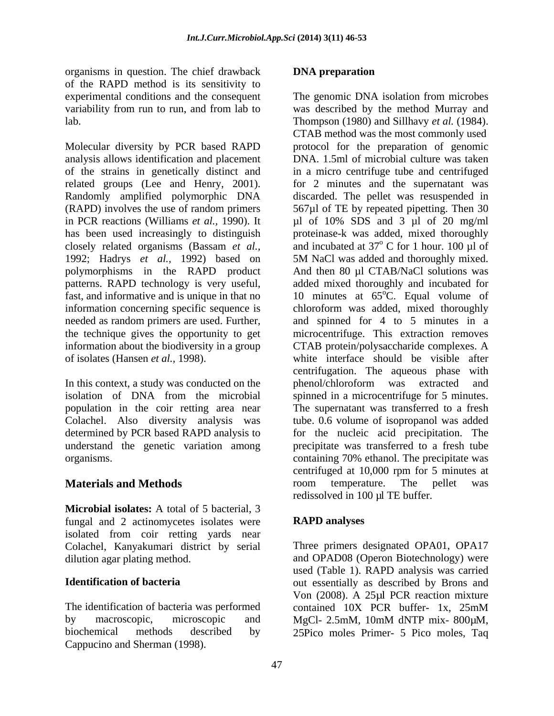organisms in question. The chief drawback of the RAPD method is its sensitivity to lab. Thompson (1980) and Sillhavy *et al.* (1984).

In this context, a study was conducted on the phenol/chloroform was extracted and understand the genetic variation among

**Microbial isolates:** A total of 5 bacterial, 3 fungal and 2 actinomycetes isolates were **RAPD analyses** isolated from coir retting yards near Colachel, Kanyakumari district by serial

by macroscopic, microscopic and MgCl-2.5mM, 10mM dNTP mix-800 $\mu$ M, biochemical methods described by 25Pico moles Primer- 5 Pico moles, Taq

experimental conditions and the consequent The genomic DNA isolation from microbes variability from run to run, and from lab to was described by the method Murray and Molecular diversity by PCR based RAPD protocol for the preparation of genomic analysis allows identification and placement DNA. 1.5ml of microbial culture was taken of the strains in genetically distinct and in a micro centrifuge tube and centrifuged related groups (Lee and Henry, 2001). for 2 minutes and the supernatant was Randomly amplified polymorphic DNA discarded. The pellet was resuspended in (RAPD) involves the use of random primers 567µl of TE by repeated pipetting. Then 30 in PCR reactions (Williams *et al.*, 1990). It  $\mu$ l of 10% SDS and 3  $\mu$ l of 20 mg/ml has been used increasingly to distinguish proteinase-k was added, mixed thoroughly closely related organisms (Bassam *et al.,* and incubated at 37<sup>°</sup> C for 1 hour. 100 µl of 1992; Hadrys *et al.,* 1992) based on 5M NaClwas added and thoroughly mixed. polymorphisms in the RAPD product And then 80 µl CTAB/NaCl solutions was patterns. RAPD technology is very useful, added mixed thoroughly and incubated for fast, and informative and is unique in that no  $10$  minutes at  $65^{\circ}$ C. Equal volume of information concerning specific sequence is chloroform was added, mixed thoroughly needed as random primers are used. Further, and spinned for 4 to 5 minutes in a the technique gives the opportunity to get microcentrifuge. This extraction removes information about the biodiversity in a group CTAB protein/polysaccharide complexes. A of isolates (Hansen *et al.,* 1998). white interface should be visible after isolation of DNA from the microbial spinned in a microcentrifuge for 5 minutes. population in the coir retting area near The supernatant was transferred to a fresh Colachel. Also diversity analysis was tube. 0.6 volume of isopropanol was added determined by PCR based RAPD analysis to for the nucleic acid precipitation. The organisms. containing 70% ethanol. The precipitate was **Materials and Methods Come in the Select Component Select Select** was organisms in question. The chief dustriales is not an experimention of the higher state of the stationary of the state of the state of the state of the state of the state of the state of the state of the state of the stat Thompson (1980) and Sillhavy *et al.* (1984). CTAB method was the most commonly used  $\rm ^{o}$  C for 1 hour. 100  $\mu$ l of centrifugation. The aqueous phase with phenol/chloroform was extracted and precipitate was transferred to a fresh tube centrifuged at 10,000 rpm for 5 minutes at room temperature. The pellet was redissolved in 100 µl TE buffer.

## **RAPD analyses**

dilution agar plating method. and OPAD08 (Operon Biotechnology) were **Identification of bacteria** out essentially as described by Brons and The identification of bacteria was performed contained 10X PCR buffer- 1x, 25mM Three primers designated OPA01, OPA17 used (Table 1). RAPD analysis was carried Von (2008). A 25µl PCR reaction mixture MgCl- 2.5mM, 10mM dNTP mix- 800µM, 25Pico moles Primer- <sup>5</sup> Pico moles, Taq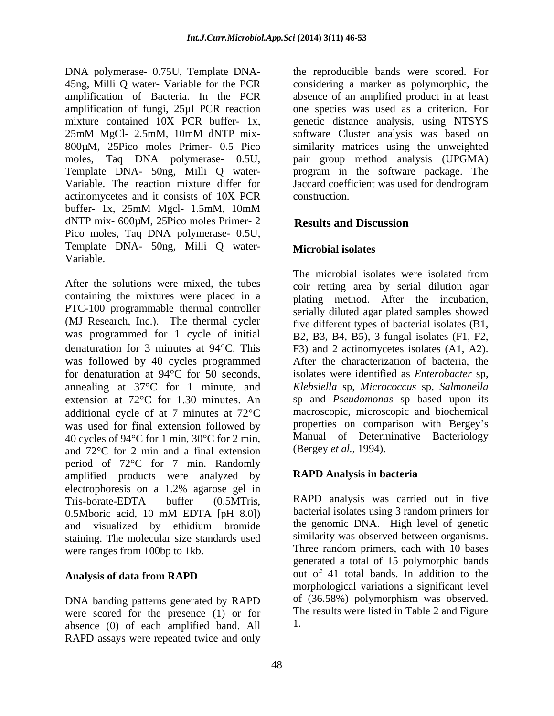DNA polymerase- 0.75U, Template DNA- 45ng, Milli Q water- Variable for the PCR considering a marker as polymorphic, the amplification of Bacteria. In the PCR absence of an amplified product in at least amplification of fungi, 25µl PCR reaction mixture contained 10X PCR buffer- 1x, genetic distance analysis, using NTSYS<br>25mM MgCl- 2.5mM, 10mM dNTP mix- software Cluster analysis was based on 800µM, 25Pico moles Primer- 0.5 Pico similarity matrices using the unweighted moles, Taq DNA polymerase- 0.5U, pair group method analysis (UPGMA)<br>Template DNA- 50ng, Milli Q water- program in the software package. The Variable. The reaction mixture differ for Jaccard coefficient was used for dendrogram actinomycetes and it consists of 10X PCR buffer- 1x, 25mM Mgcl- 1.5mM, 10mM dNTP mix- 600µM, 25Pico moles Primer- 2 Results and Discussion Pico moles, Taq DNA polymerase- 0.5U, Template DNA- 50ng, Milli <sup>Q</sup> water-

containing the mixtures were placed in a PTC-100 programmable thermal controller (MJ Research, Inc.). The thermal cycler five different types of bacterial isolates (B1, was programmed for 1 cycle of initial B2, B3, B4, B5), 3 fungal isolates (F1, F2, denaturation for 3 minutes at 94 °C. This F3) and 2 actinomycetes isolates (A1, A2). was followed by 40 cycles programmed for denaturation at  $94^{\circ}$ C for 50 seconds, isolates were identified as *Enterobacter* sp. annealing at 37°C for 1 minute, and Klebsiella sp, Micrococcus sp, Salmonella extension at 72°C for 1.30 minutes. An additional cycle of at 7 minutes at 72°C was used for final extension followed by 40 cycles of 94°C for 1 min, 30°C for 2 min, and 72°C for 2 min and a final extension period of 72°C for 7 min. Randomly amplified products were analyzed by electrophoresis on a 1.2% agarose gel in Tris-borate-EDTA buffer (0.5MTris, 0.5Mboric acid, 10 mM EDTA [pH 8.0]) bacterial isolates using 3 random primers for and visualized by ethidium bromide staining. The molecular size standards used were ranges from 100bp to 1kb.

DNA banding patterns generated by RAPD were scored for the presence (1) or for absence (0) of each amplified band. All RAPD assays were repeated twice and only

the reproducible bands were scored. For one species was used as a criterion. For genetic distance analysis, using NTSYS software Cluster analysis was based on pair group method analysis (UPGMA) program in the software package. The construction.

# **Results and Discussion**

### **Microbial isolates**

Variable.<br>
The microbial isolates were isolated from<br>
After the solutions were mixed, the tubes<br>  $\frac{1}{2}$  The microbial isolates were isolated from<br>  $\frac{1}{2}$  The microbial isolates were isolated from The microbial isolates were isolated from coir retting area by serial dilution agar plating method. After the incubation, serially diluted agar plated samples showed After the characterization of bacteria, the isolates were identified as *Enterobacter* sp*, Klebsiella* sp*, Micrococcus* sp*, Salmonella* sp and *Pseudomonas* sp based upon its macroscopic, microscopic and biochemical properties on comparison with Bergey's Manual of Determinative Bacteriology (Bergey *et al.,* 1994).

## **RAPD Analysis in bacteria**

Analysis of data from RAPD **out** of 41 total bands. In addition to the RAPD analysis was carried out in five bacterial isolates using 3 random primers for the genomic DNA. High level of genetic similarity was observed between organisms. Three random primers, each with 10 bases generated a total of 15 polymorphic bands out of 41 total bands. In addition to the morphological variations a significant level of (36.58%) polymorphism was observed. The results were listed in Table 2 and Figure 1.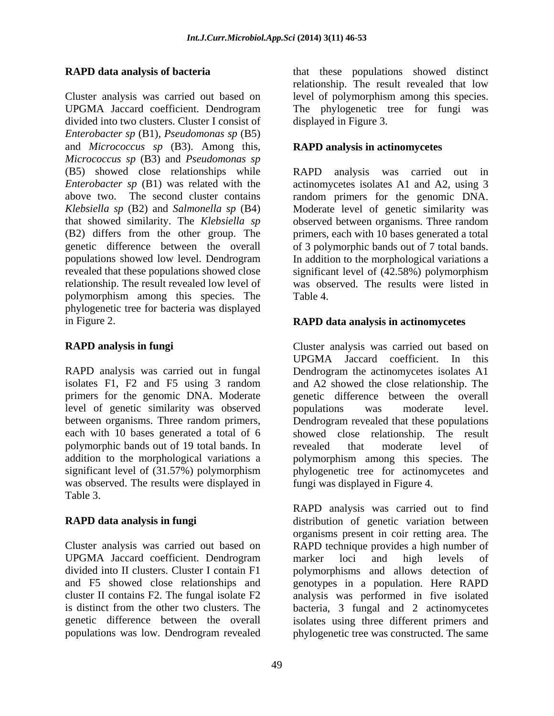Cluster analysis was carried out based on level of polymorphism among this species. UPGMA Jaccard coefficient. Dendrogram The phylogenetic tree for fungi was divided into two clusters. Cluster I consist of *Enterobacter sp* (B1), *Pseudomonas sp* (B5) and *Micrococcus sp* (B3). Among this, *Micrococcus sp* (B3) and *Pseudomonas sp* (B5) showed close relationships while RAPD analysis was carried out in *Enterobacter sp* (B1) was related with the actinomycetes isolates A1 and A2, using 3 above two. The second cluster contains random primers for the genomic DNA. *Klebsiella sp* (B2) and *Salmonella sp* (B4) Moderate level of genetic similarity was that showed similarity. The *Klebsiella sp*  observed between organisms. Three random (B2) differs from the other group. The primers, each with 10 bases generated a total genetic difference between the overall of 3 polymorphic bands out of 7 total bands. populations showed low level. Dendrogram In addition to the morphological variations a revealed that these populations showed close significant level of (42.58%) polymorphism relationship. The result revealed low level of polymorphism among this species. The phylogenetic tree for bacteria was displayed in Figure 2. **RAPD data analysis in actinomycetes**

RAPD analysis was carried out in fungal level of genetic similarity was observed between organisms. Three random primers, polymorphic bands out of 19 total bands. In the revealed that moderate level of addition to the morphological variations a polymorphism among this species. The was observed. The results were displayed in Table 3.

UPGMA Jaccard coefficient. Dendrogram marker loci and high levels of

**RAPD data analysis of bacteria** that these populations showed distinct relationship. The result revealed that low displayed in Figure 3.

### **RAPD analysis in actinomycetes**

was observed. The results were listed in Table 4.

**RAPD analysis in fungi** Cluster analysis was carried out based on isolates F1, F2 and F5 using 3 random and A2 showed the close relationship. The primers for the genomic DNA. Moderate genetic difference between the overall each with 10 bases generated a total of 6 showed close relationship. The result addition to the morphological variations a polymorphism among this species. The significant level of (31.57%) polymorphism phylogenetic tree for actinomycetes and UPGMA Jaccard coefficient. In this Dendrogram the actinomycetes isolates A1 populations was moderate level. Dendrogram revealed that these populations revealed that moderate level of fungi was displayed in Figure 4.

**RAPD data analysis in fungi** distribution of genetic variation between Cluster analysis was carried out based on RAPD technique provides a high number of divided into II clusters. Cluster I contain F1 polymorphisms and allows detection of and F5 showed close relationships and genotypes in a population. Here RAPD cluster II contains F2. The fungal isolate F2 analysis was performed in five isolated is distinct from the other two clusters. The bacteria, 3 fungal and 2 actinomycetes genetic difference between the overall isolates using three different primers and populations was low. Dendrogram revealed phylogenetic tree was constructed. The same RAPD analysis was carried out to find organisms present in coir retting area. The marker loci and high levels of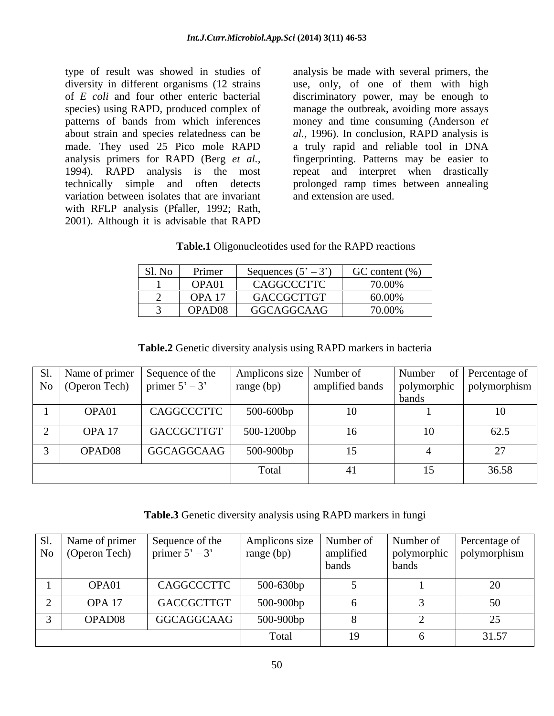type of result was showed in studies of analysis be made with several primers, the diversity in different organisms (12 strains use, only, of one of them with high of *E coli* and four other enteric bacterial discriminatory power, may be enough to species) using RAPD, produced complex of manage the outbreak, avoiding more assays patterns of bands from which inferences about strain and species relatedness can be *al.,* 1996). In conclusion, RAPD analysis is made. They used 25 Pico mole RAPD a truly rapid and reliable tool in DNA analysis primers for RAPD (Berg *et al.*, fingerprinting. Patterns may be easier to 1994). RAPD analysis is the most repeat and interpret when drastically technically simple and often detects prolonged ramp times between annealing variation between isolates that are invariant with RFLP analysis (Pfaller, 1992; Rath, 2001). Although it is advisable that RAPD

money and time consuming (Anderson *et*  and extension are used.

| Sl. No Primer       | Sequences $(5' - 3')$ GC content $(\%)$ |        |
|---------------------|-----------------------------------------|--------|
| OPA01               | CAGGCCCTTC                              | 70.00% |
| $\overline{OPA}$ 17 | GACCGCTTGT                              | 60.00% |
| OPAD08              | GGCAGGCAAG                              | 70.00% |

**Table.2** Genetic diversity analysis using RAPD markers in bacteria

|                   | Sl.   Name of primer   Sequence of the   Amplicons size   Number of |            |        |       | Number of Percentage of                      |
|-------------------|---------------------------------------------------------------------|------------|--------|-------|----------------------------------------------|
|                   | No $\left\vert$ (Operon Tech) $\left\vert$ primer 5' – 3'           | range (bp) |        |       | amplified bands   polymorphic   polymorphism |
|                   |                                                                     |            |        | bands |                                              |
| OPA01             | CAGGCCCTTC                                                          | 500-600bp  | 10     |       |                                              |
| OPA <sub>17</sub> | $GACCGCTTGT$ 500-1200bp                                             |            | $16-1$ |       |                                              |
|                   |                                                                     |            |        |       | 62.5                                         |
| OPAD08            | GGCAGGCAAG                                                          | 500-900bp  | 15     |       |                                              |
|                   |                                                                     |            |        |       |                                              |
|                   |                                                                     | Total      |        |       | 36.58                                        |
|                   |                                                                     |            |        |       |                                              |

**Table.3** Genetic diversity analysis using RAPD markers in fungi

|                   | Sl. Name of primer Sequence of the Amplicons size Number of Number of Number of Number of Polymorphic $\begin{array}{ l l }\n\hline\n\text{No} & \text{(Open Tech)} \\ \hline\n\end{array}$ |           | pands | bands | Percentage of<br>polymorphic polymorphism |
|-------------------|---------------------------------------------------------------------------------------------------------------------------------------------------------------------------------------------|-----------|-------|-------|-------------------------------------------|
| OPA01             | CAGGCCCTTC                                                                                                                                                                                  | 500-630bp |       |       |                                           |
| OPA <sub>17</sub> | GACCGCTTGT                                                                                                                                                                                  | 500-900bp |       |       |                                           |
| OPAD08            | GGCAGGCAAG                                                                                                                                                                                  | 500-900bp |       |       |                                           |
|                   |                                                                                                                                                                                             | `otal     | 19    |       | 31.57                                     |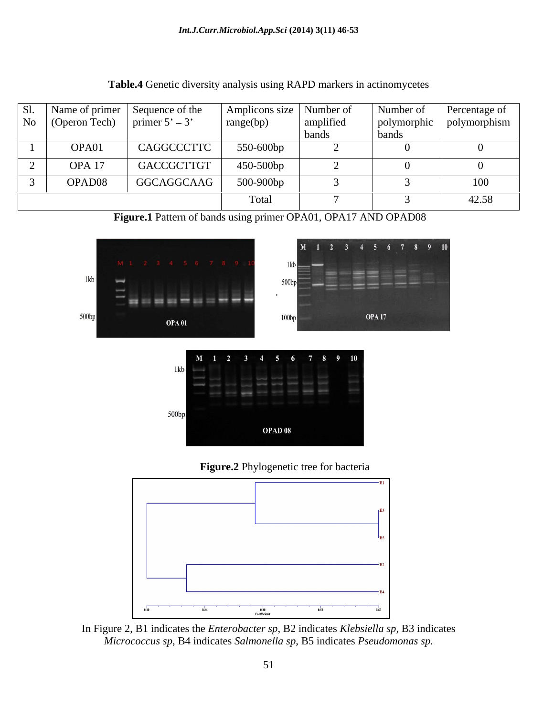|  |                   | SI.   Name of primer   Sequence of the   Amplicons size   Number of<br>$\vert$ No $\vert$ (Operon Tech) $\vert$ primer 5' – 3 | $\vert$ range(bp) | amplified | Number of<br>polymorphic polymorphism | Percentage of |
|--|-------------------|-------------------------------------------------------------------------------------------------------------------------------|-------------------|-----------|---------------------------------------|---------------|
|  | OPA01             | CAGGCCCTTC                                                                                                                    | 550-600bp         | bands     | bands                                 |               |
|  | OPA <sub>17</sub> | GACCGCTTGT                                                                                                                    | 450-500bp         |           |                                       |               |
|  | OPAD08            | GGCAGGCAAG                                                                                                                    | 500-900bp         |           |                                       |               |
|  |                   |                                                                                                                               | Total             |           |                                       | 42.58         |

**Table.4** Genetic diversity analysis using RAPD markers in actinomycetes

**Figure.1** Pattern of bands using primer OPA01, OPA17 AND OPAD08







In Figure 2, B1 indicates the *Enterobacter sp*, B2 indicates *Klebsiella sp,* B3 indicates *Micrococcus sp*, B4 indicates *Salmonella sp*, B5 indicates *Pseudomonas sp.*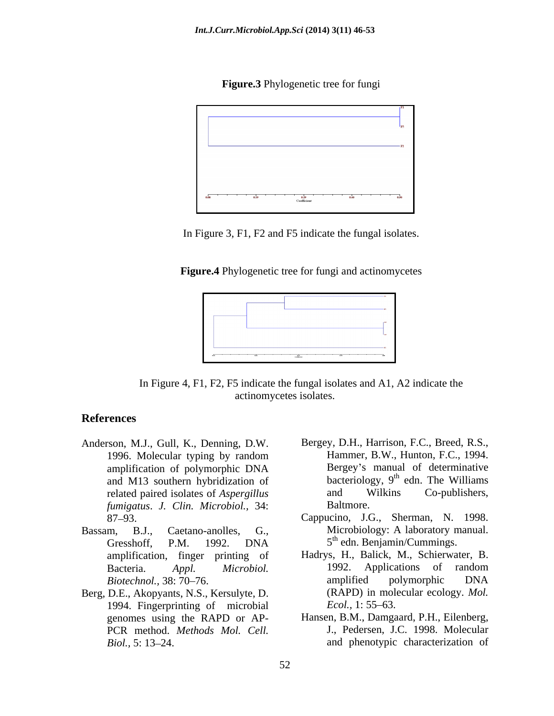



In Figure 3, F1, F2 and F5 indicate the fungal isolates.

**Figure.4** Phylogenetic tree for fungi and actinomycetes



In Figure 4, F1, F2, F5 indicate the fungal isolates and A1, A2 indicate the actinomycetes isolates.

### **References**

- related paired isolates of *Aspergillus fumigatus*. *J. Clin. Microbiol.,* 34:
- Gresshoff, P.M. 1992. DNA 5<sup>th</sup> edn. Benjamin/Cummings.
- Berg, D.E., Akopyants, N.S., Kersulyte, D. 1994. Fingerprinting of microbial *Ecol.*, 1:55–63. PCR method. *Methods Mol. Cell.*
- Anderson, M.J., Gull, K., Denning, D.W. Bergey, D.H., Harrison, F.C., Breed, R.S., 1996. Molecular typing by random Hammer, B.W., Hunton, F.C., 1994. amplification of polymorphic DNA and M13 southern hybridization of bacteriology,  $9^{\text{m}}$  edn. The Williams related paired isolates of *Aspergillus* and Wilkins Co-publishers, Hammer, B.W., Hunton, F.C., 1994. Bergey's manual of determinative bacteriology, 9<sup>th</sup> edn. The Williams edn. The Williams and Wilkins Co-publishers, Baltmore.
- 87 93. Cappucino, J.G., Sherman, N. 1998. Bassam, B.J., Caetano-anolles, G., Microbiology: A laboratory manual. Microbiology: A laboratory manual. 5 th edn. Benjamin/Cummings.
	- amplification, finger printing of Hadrys, H., Balick, M., Schierwater, B. Bacteria. *Appl. Microbiol.* 1992. Applications of random<br>Biotechnol. 38: 70–76. **Microbiol.** amplified polymorphic DNA *Biotechnol.,* 38: 70–76. The amplified polymorphic DNA 1992. Applications of random amplified polymorphic DNA (RAPD) in molecular ecology. *Mol. Ecol.,* 1: 55–63.
	- genomes using the RAPD or AP- Hansen, B.M., Damgaard, P.H., Eilenberg, Biol., 5: 13–24. **and phenotypic characterization of** and phenotypic characterization of J., Pedersen, J.C. 1998. Molecular